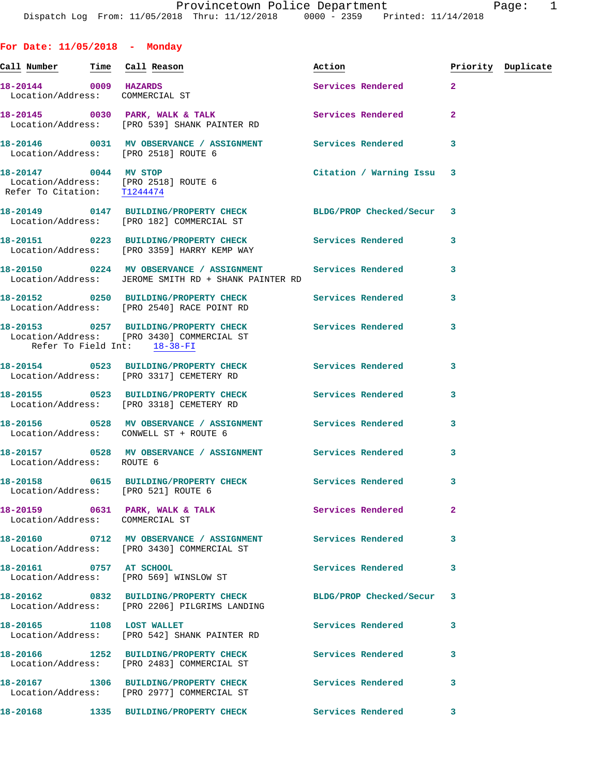| For Date: $11/05/2018$ - Monday                          |                                                                                                                    |                           |              |                    |
|----------------------------------------------------------|--------------------------------------------------------------------------------------------------------------------|---------------------------|--------------|--------------------|
| <u>Call Number — Time Call Reason</u>                    |                                                                                                                    | Action                    |              | Priority Duplicate |
| 18-20144 0009 HAZARDS<br>Location/Address: COMMERCIAL ST |                                                                                                                    | Services Rendered 2       |              |                    |
|                                                          | 18-20145 0030 PARK, WALK & TALK (2008) Services Rendered Location/Address: [PRO 539] SHANK PAINTER RD              |                           | $\mathbf{2}$ |                    |
|                                                          | 18-20146  0031 MV OBSERVANCE / ASSIGNMENT Services Rendered 3<br>Location/Address: [PRO 2518] ROUTE 6              |                           |              |                    |
| Refer To Citation: T1244474                              | 18-20147 0044 MV STOP<br>Location/Address: [PRO 2518] ROUTE 6                                                      | Citation / Warning Issu 3 |              |                    |
|                                                          | 18-20149 0147 BUILDING/PROPERTY CHECK BLDG/PROP Checked/Secur 3<br>Location/Address: [PRO 182] COMMERCIAL ST       |                           |              |                    |
|                                                          | 18-20151 0223 BUILDING/PROPERTY CHECK Services Rendered 3<br>Location/Address: [PRO 3359] HARRY KEMP WAY           |                           |              |                    |
|                                                          | 18-20150 0224 MV OBSERVANCE / ASSIGNMENT Services Rendered<br>Location/Address: JEROME SMITH RD + SHANK PAINTER RD |                           | 3            |                    |
|                                                          | 18-20152 0250 BUILDING/PROPERTY CHECK Services Rendered 3<br>Location/Address: [PRO 2540] RACE POINT RD            |                           |              |                    |
| Refer To Field Int: 18-38-FI                             | 18-20153 0257 BUILDING/PROPERTY CHECK Services Rendered<br>Location/Address: [PRO 3430] COMMERCIAL ST              |                           | 3            |                    |
|                                                          | 18-20154 0523 BUILDING/PROPERTY CHECK Services Rendered<br>Location/Address: [PRO 3317] CEMETERY RD                |                           | 3            |                    |
|                                                          | 18-20155 0523 BUILDING/PROPERTY CHECK Services Rendered<br>Location/Address: [PRO 3318] CEMETERY RD                |                           | 3            |                    |
|                                                          | 18-20156  0528 MV OBSERVANCE / ASSIGNMENT Services Rendered<br>Location/Address: CONWELL ST + ROUTE 6              |                           | 3            |                    |
| Location/Address: ROUTE 6                                | 18-20157 0528 MV OBSERVANCE / ASSIGNMENT Services Rendered 3                                                       |                           |              |                    |
|                                                          | Location/Address: [PRO 521] ROUTE 6                                                                                |                           |              |                    |
| Location/Address: COMMERCIAL ST                          | 18-20159 0631 PARK, WALK & TALK 2008 Services Rendered                                                             |                           | $\mathbf{2}$ |                    |
|                                                          | 18-20160 0712 MV OBSERVANCE / ASSIGNMENT Services Rendered<br>Location/Address: [PRO 3430] COMMERCIAL ST           |                           | 3            |                    |
|                                                          | 18-20161 0757 AT SCHOOL<br>Location/Address: [PRO 569] WINSLOW ST                                                  | Services Rendered         | 3            |                    |
|                                                          | 18-20162 0832 BUILDING/PROPERTY CHECK BLDG/PROP Checked/Secur<br>Location/Address: [PRO 2206] PILGRIMS LANDING     |                           | 3            |                    |
|                                                          | 18-20165 1108 LOST WALLET<br>Location/Address: [PRO 542] SHANK PAINTER RD                                          | Services Rendered         | 3            |                    |
|                                                          | 18-20166 1252 BUILDING/PROPERTY CHECK<br>Location/Address: [PRO 2483] COMMERCIAL ST                                | Services Rendered         | 3            |                    |
|                                                          | 18-20167 1306 BUILDING/PROPERTY CHECK<br>Location/Address: [PRO 2977] COMMERCIAL ST                                | Services Rendered         | 3            |                    |

**18-20168 1335 BUILDING/PROPERTY CHECK Services Rendered 3**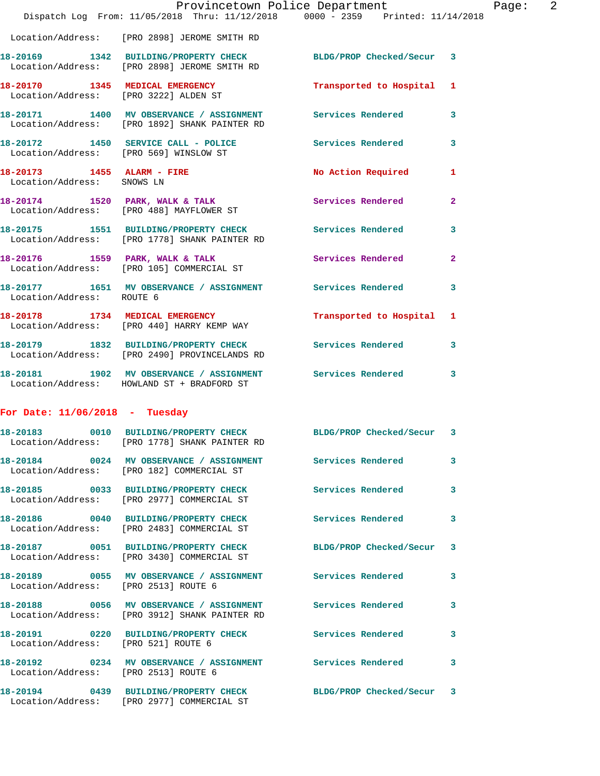|                                        | Dispatch Log From: 11/05/2018 Thru: 11/12/2018 0000 - 2359 Printed: 11/14/2018                                   | Provincetown Police Department |                | Page: 2 |  |
|----------------------------------------|------------------------------------------------------------------------------------------------------------------|--------------------------------|----------------|---------|--|
|                                        | Location/Address: [PRO 2898] JEROME SMITH RD                                                                     |                                |                |         |  |
|                                        | 18-20169 1342 BUILDING/PROPERTY CHECK BLDG/PROP Checked/Secur 3<br>Location/Address: [PRO 2898] JEROME SMITH RD  |                                |                |         |  |
|                                        | 18-20170 1345 MEDICAL EMERGENCY<br>Location/Address: [PRO 3222] ALDEN ST                                         | Transported to Hospital 1      |                |         |  |
|                                        | 18-20171 1400 MV OBSERVANCE / ASSIGNMENT Services Rendered 3<br>Location/Address: [PRO 1892] SHANK PAINTER RD    |                                |                |         |  |
| Location/Address: [PRO 569] WINSLOW ST | 18-20172 1450 SERVICE CALL - POLICE Services Rendered 3                                                          |                                |                |         |  |
| Location/Address: SNOWS LN             | 18-20173 1455 ALARM - FIRE                                                                                       | No Action Required 1           |                |         |  |
|                                        | 18-20174 1520 PARK, WALK & TALK<br>Location/Address: [PRO 488] MAYFLOWER ST                                      | Services Rendered              | $\mathbf{2}$   |         |  |
|                                        | 18-20175 1551 BUILDING/PROPERTY CHECK Services Rendered<br>Location/Address: [PRO 1778] SHANK PAINTER RD         |                                | 3              |         |  |
|                                        | 18-20176 1559 PARK, WALK & TALK<br>Location/Address: [PRO 105] COMMERCIAL ST                                     | Services Rendered              | $\overline{2}$ |         |  |
| Location/Address: ROUTE 6              | 18-20177 1651 MV OBSERVANCE / ASSIGNMENT Services Rendered                                                       |                                | 3              |         |  |
|                                        | 18-20178 1734 MEDICAL EMERGENCY<br>Location/Address: [PRO 440] HARRY KEMP WAY                                    | Transported to Hospital 1      |                |         |  |
|                                        | 18-20179 1832 BUILDING/PROPERTY CHECK Services Rendered<br>Location/Address: [PRO 2490] PROVINCELANDS RD         |                                | 3              |         |  |
|                                        | 18-20181 1902 MV OBSERVANCE / ASSIGNMENT Services Rendered 3<br>Location/Address: HOWLAND ST + BRADFORD ST       |                                |                |         |  |
| For Date: $11/06/2018$ - Tuesday       |                                                                                                                  |                                |                |         |  |
|                                        | 18-20183 0010 BUILDING/PROPERTY CHECK BLDG/PROP Checked/Secur 3<br>Location/Address: [PRO 1778] SHANK PAINTER RD |                                |                |         |  |
|                                        | 18-20184 0024 MV OBSERVANCE / ASSIGNMENT Services Rendered<br>Location/Address: [PRO 182] COMMERCIAL ST          |                                | 3              |         |  |
|                                        | 18-20185 0033 BUILDING/PROPERTY CHECK Services Rendered<br>Location/Address: [PRO 2977] COMMERCIAL ST            |                                | 3              |         |  |
|                                        | 18-20186 0040 BUILDING/PROPERTY CHECK Services Rendered<br>Location/Address: [PRO 2483] COMMERCIAL ST            |                                | 3              |         |  |
|                                        | 18-20187 0051 BUILDING/PROPERTY CHECK BLDG/PROP Checked/Secur 3<br>Location/Address: [PRO 3430] COMMERCIAL ST    |                                |                |         |  |
| Location/Address: [PRO 2513] ROUTE 6   | 18-20189 0055 MV OBSERVANCE / ASSIGNMENT Services Rendered                                                       |                                | 3              |         |  |
|                                        | 18-20188 0056 MV OBSERVANCE / ASSIGNMENT Services Rendered 3<br>Location/Address: [PRO 3912] SHANK PAINTER RD    |                                |                |         |  |
| Location/Address: [PRO 521] ROUTE 6    | 18-20191 0220 BUILDING/PROPERTY CHECK Services Rendered                                                          |                                | 3              |         |  |
| Location/Address: [PRO 2513] ROUTE 6   | 18-20192 0234 MV OBSERVANCE / ASSIGNMENT Services Rendered 3                                                     |                                |                |         |  |
|                                        | 18-20194 0439 BUILDING/PROPERTY CHECK BLDG/PROP Checked/Secur 3<br>Location/Address: [PRO 2977] COMMERCIAL ST    |                                |                |         |  |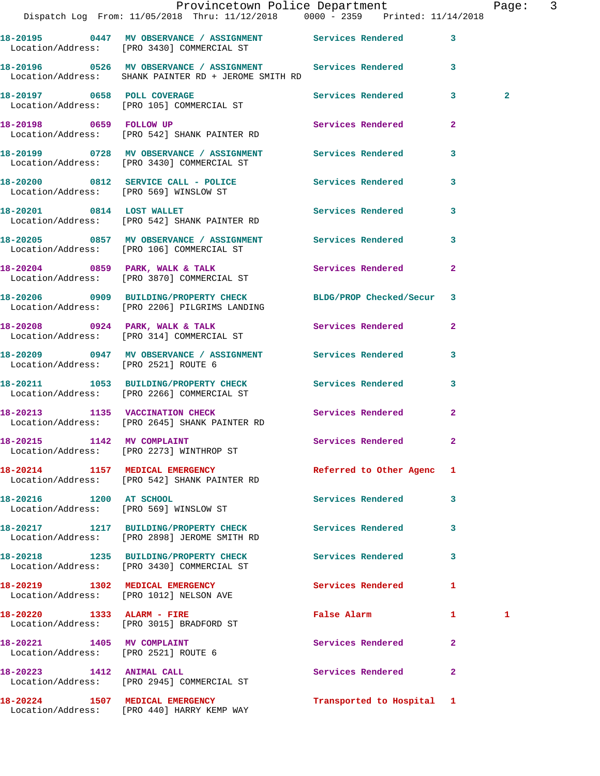|                                      | Provincetown Police Department Page: 3<br>Dispatch Log From: 11/05/2018 Thru: 11/12/2018 0000 - 2359 Printed: 11/14/2018 |                           |                |              |  |
|--------------------------------------|--------------------------------------------------------------------------------------------------------------------------|---------------------------|----------------|--------------|--|
|                                      | 18-20195 0447 MV OBSERVANCE / ASSIGNMENT Services Rendered<br>Location/Address: [PRO 3430] COMMERCIAL ST                 |                           | $\mathbf{3}$   |              |  |
|                                      | Location/Address: SHANK PAINTER RD + JEROME SMITH RD                                                                     |                           |                |              |  |
|                                      | 18-20197 0658 POLL COVERAGE<br>Location/Address: [PRO 105] COMMERCIAL ST                                                 | Services Rendered 3       |                | $\mathbf{2}$ |  |
|                                      | 18-20198 0659 FOLLOW UP<br>Location/Address: [PRO 542] SHANK PAINTER RD                                                  | Services Rendered         | $\mathbf{2}$   |              |  |
|                                      |                                                                                                                          |                           | $\mathbf{3}$   |              |  |
|                                      | 18-20200 0812 SERVICE CALL - POLICE 3 Services Rendered<br>Location/Address: [PRO 569] WINSLOW ST                        |                           | 3              |              |  |
|                                      | 18-20201 0814 LOST WALLET<br>Location/Address: [PRO 542] SHANK PAINTER RD                                                | Services Rendered 3       |                |              |  |
|                                      | 18-20205 0857 MV OBSERVANCE / ASSIGNMENT Services Rendered<br>Location/Address: [PRO 106] COMMERCIAL ST                  |                           | 3              |              |  |
|                                      | 18-20204 0859 PARK, WALK & TALK Services Rendered<br>Location/Address: [PRO 3870] COMMERCIAL ST                          |                           | $\overline{2}$ |              |  |
|                                      | 18-20206 0909 BUILDING/PROPERTY CHECK BLDG/PROP Checked/Secur 3<br>Location/Address: [PRO 2206] PILGRIMS LANDING         |                           |                |              |  |
|                                      | 18-20208 0924 PARK, WALK & TALK Services Rendered<br>Location/Address: [PRO 314] COMMERCIAL ST                           |                           | $\mathbf{2}$   |              |  |
| Location/Address: [PRO 2521] ROUTE 6 | 18-20209 0947 MV OBSERVANCE / ASSIGNMENT Services Rendered                                                               |                           | 3              |              |  |
|                                      | 18-20211 1053 BUILDING/PROPERTY CHECK Services Rendered<br>Location/Address: [PRO 2266] COMMERCIAL ST                    |                           | $\mathbf{3}$   |              |  |
|                                      |                                                                                                                          | Services Rendered         | $\mathbf{2}$   |              |  |
|                                      | 18-20215 1142 MV COMPLAINT<br>Location/Address: [PRO 2273] WINTHROP ST                                                   | <b>Services Rendered</b>  |                |              |  |
|                                      | 18-20214 1157 MEDICAL EMERGENCY<br>Location/Address: [PRO 542] SHANK PAINTER RD                                          | Referred to Other Agenc 1 |                |              |  |
| 18-20216 1200 AT SCHOOL              | Location/Address: [PRO 569] WINSLOW ST                                                                                   | Services Rendered         | 3              |              |  |
|                                      | 18-20217 1217 BUILDING/PROPERTY CHECK Services Rendered<br>Location/Address: [PRO 2898] JEROME SMITH RD                  |                           | 3              |              |  |
|                                      | 18-20218 1235 BUILDING/PROPERTY CHECK Services Rendered<br>Location/Address: [PRO 3430] COMMERCIAL ST                    |                           | 3              |              |  |
|                                      | 18-20219 1302 MEDICAL EMERGENCY<br>Location/Address: [PRO 1012] NELSON AVE                                               | <b>Services Rendered</b>  | 1              |              |  |
|                                      | 18-20220 1333 ALARM - FIRE<br>Location/Address: [PRO 3015] BRADFORD ST                                                   | False Alarm               | $\mathbf{1}$   | 1            |  |
| Location/Address: [PRO 2521] ROUTE 6 | 18-20221 1405 MV COMPLAINT                                                                                               | Services Rendered         | 2              |              |  |
| 18-20223 1412 ANIMAL CALL            | Location/Address: [PRO 2945] COMMERCIAL ST                                                                               | Services Rendered         | $\mathbf{2}$   |              |  |
|                                      | 18-20224 1507 MEDICAL EMERGENCY                                                                                          | Transported to Hospital 1 |                |              |  |

Location/Address: [PRO 440] HARRY KEMP WAY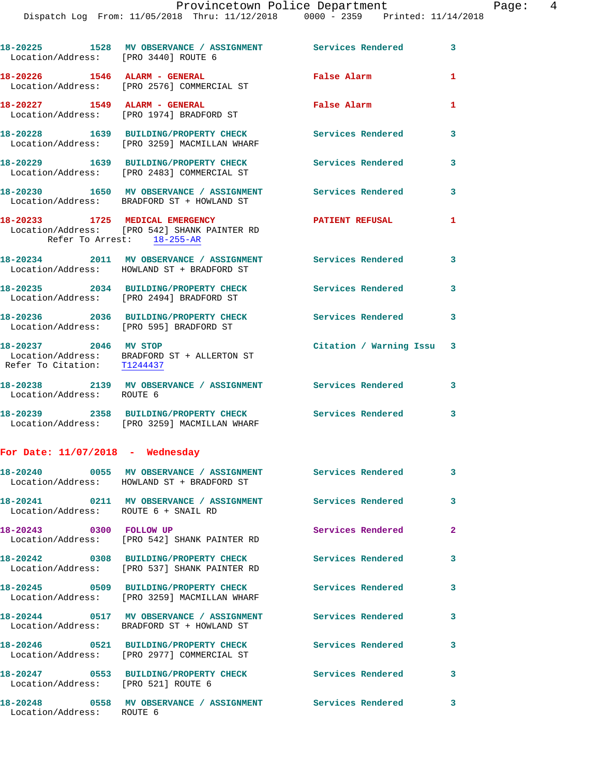| Location/Address: [PRO 3440] ROUTE 6                 | 18-20225 1528 MV OBSERVANCE / ASSIGNMENT Services Rendered 3                                                  |                           |                         |
|------------------------------------------------------|---------------------------------------------------------------------------------------------------------------|---------------------------|-------------------------|
|                                                      | $18-20226$ 1546 ALARM - GENERAL<br>Location/Address: [PRO 2576] COMMERCIAL ST                                 | False Alarm               | 1                       |
| 18-20227 1549 ALARM - GENERAL                        | Location/Address: [PRO 1974] BRADFORD ST                                                                      | False Alarm               | 1                       |
|                                                      | 18-20228 1639 BUILDING/PROPERTY CHECK<br>Location/Address: [PRO 3259] MACMILLAN WHARF                         | Services Rendered         | 3                       |
|                                                      | 18-20229 1639 BUILDING/PROPERTY CHECK<br>Location/Address: [PRO 2483] COMMERCIAL ST                           | <b>Services Rendered</b>  | 3                       |
|                                                      | 18-20230 1650 MV OBSERVANCE / ASSIGNMENT Services Rendered<br>Location/Address: BRADFORD ST + HOWLAND ST      |                           | 3                       |
|                                                      | 18-20233 1725 MEDICAL EMERGENCY<br>Location/Address: [PRO 542] SHANK PAINTER RD<br>Refer To Arrest: 18-255-AR | <b>PATIENT REFUSAL</b>    | 1                       |
|                                                      | 18-20234 2011 MV OBSERVANCE / ASSIGNMENT Services Rendered 3<br>Location/Address: HOWLAND ST + BRADFORD ST    |                           |                         |
|                                                      | 18-20235 2034 BUILDING/PROPERTY CHECK Services Rendered<br>Location/Address: [PRO 2494] BRADFORD ST           |                           | 3                       |
|                                                      | 18-20236 2036 BUILDING/PROPERTY CHECK<br>Location/Address: [PRO 595] BRADFORD ST                              | Services Rendered 3       |                         |
| 18-20237 2046 MV STOP<br>Refer To Citation: T1244437 | Location/Address: BRADFORD ST + ALLERTON ST                                                                   | Citation / Warning Issu 3 |                         |
| Location/Address: ROUTE 6                            | 18-20238 2139 MV OBSERVANCE / ASSIGNMENT Services Rendered                                                    |                           | $\overline{\mathbf{3}}$ |
|                                                      | 18-20239 2358 BUILDING/PROPERTY CHECK Services Rendered 3<br>Location/Address: [PRO 3259] MACMILLAN WHARF     |                           |                         |
| For Date: $11/07/2018$ - Wednesday                   |                                                                                                               |                           |                         |
|                                                      | 18-20240 0055 MV OBSERVANCE / ASSIGNMENT<br>Location/Address: HOWLAND ST + BRADFORD ST                        | Services Rendered         | 3                       |
| Location/Address: ROUTE 6 + SNAIL RD                 | 18-20241  0211 MV OBSERVANCE / ASSIGNMENT Services Rendered                                                   |                           | $\mathbf{3}$            |
| 18-20243 0300 FOLLOW UP                              | Location/Address: [PRO 542] SHANK PAINTER RD                                                                  | Services Rendered         | $\mathbf{2}$            |
|                                                      | 18-20242 0308 BUILDING/PROPERTY CHECK<br>Location/Address: [PRO 537] SHANK PAINTER RD                         | Services Rendered         | 3                       |
|                                                      | 18-20245 0509 BUILDING/PROPERTY CHECK<br>Location/Address: [PRO 3259] MACMILLAN WHARF                         | Services Rendered         | 3                       |
|                                                      | 18-20244 0517 MV OBSERVANCE / ASSIGNMENT Services Rendered<br>Location/Address: BRADFORD ST + HOWLAND ST      |                           | 3                       |
|                                                      | 18-20246 0521 BUILDING/PROPERTY CHECK<br>Location/Address: [PRO 2977] COMMERCIAL ST                           | Services Rendered         | 3                       |
| Location/Address: [PRO 521] ROUTE 6                  | 18-20247 0553 BUILDING/PROPERTY CHECK                                                                         | <b>Services Rendered</b>  | 3                       |
| Location/Address: ROUTE 6                            | 18-20248 0558 MV OBSERVANCE / ASSIGNMENT Services Rendered                                                    |                           | 3                       |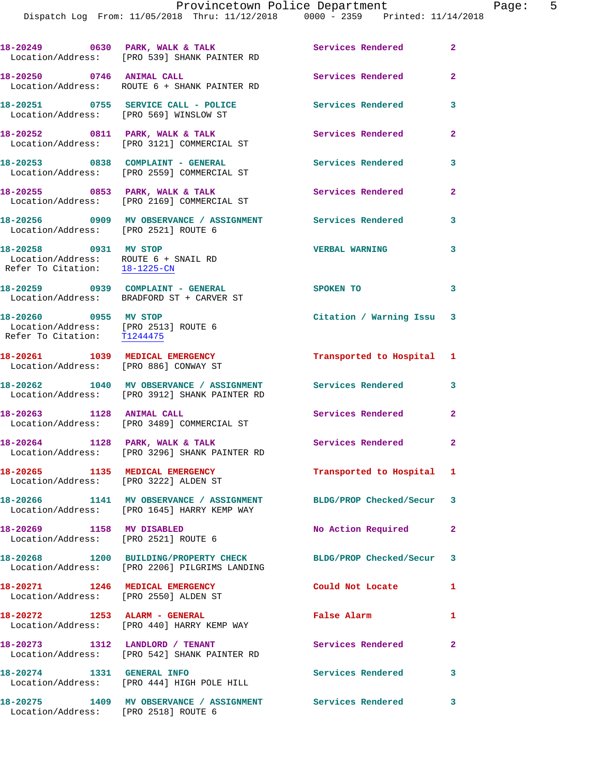Dispatch Log From: 11/05/2018 Thru: 11/12/2018 0000 - 2359 Printed: 11/14/2018

| 18-20249<br>0630                                           | PARK, WALK & TALK<br>Location/Address: [PRO 539] SHANK PAINTER RD  | Services Rendered | 2 |
|------------------------------------------------------------|--------------------------------------------------------------------|-------------------|---|
| 18-20250<br>0746                                           | <b>ANIMAL CALL</b><br>Location/Address: ROUTE 6 + SHANK PAINTER RD | Services Rendered | 2 |
| 18-20251<br>0755<br>Location/Address: [PRO 569] WINSLOW ST | SERVICE CALL - POLICE                                              | Services Rendered |   |
| 18-20252<br>0811                                           | PARK, WALK & TALK<br>Location/Address: [PRO 3121] COMMERCIAL ST    | Services Rendered | 2 |

**18-20253 0838 COMPLAINT - GENERAL Services Rendered 3**  Location/Address: [PRO 2559] COMMERCIAL ST

Location/Address: [PRO 2169] COMMERCIAL ST

Location/Address: [PRO 2521] ROUTE 6

 Location/Address: ROUTE 6 + SNAIL RD Refer To Citation: 18-1225-CN

Location/Address: BRADFORD ST + CARVER ST

 Location/Address: [PRO 2513] ROUTE 6 Refer To Citation: T1244475

Location/Address: [PRO 886] CONWAY ST

**18-20262 1040 MV OBSERVANCE / ASSIGNMENT Services Rendered 3**  Location/Address: [PRO 3912] SHANK PAINTER RD

Location/Address: [PRO 3489] COMMERCIAL ST

Location/Address: [PRO 3296] SHANK PAINTER RD

**18-20266 1141 MV OBSERVANCE / ASSIGNMENT BLDG/PROP Checked/Secur 3** 

Location/Address: [PRO 2521] ROUTE 6

**18-20268 1200 BUILDING/PROPERTY CHECK BLDG/PROP Checked/Secur 3**  Location/Address: [PRO 2206] PILGRIMS LANDING

**18-20272 1253 ALARM - GENERAL False Alarm 1** 

Location/Address: [PRO 542] SHANK PAINTER RD

Location/Address: [PRO 444] HIGH POLE HILL

18-20255 0853 PARK, WALK & TALK Services Rendered 2

**18-20256 0909 MV OBSERVANCE / ASSIGNMENT Services Rendered 3** 

**18-20258 0931 MV STOP VERBAL WARNING 3** 

**18-20263 1128 ANIMAL CALL Services Rendered 2** 

Location/Address: [PRO 3222] ALDEN ST

Location/Address: [PRO 1645] HARRY KEMP WAY

Location/Address: [PRO 2550] ALDEN ST

Location/Address: [PRO 440] HARRY KEMP WAY

Location/Address: [PRO 2518] ROUTE 6

**18-20259 0939 COMPLAINT - GENERAL SPOKEN TO 3 18-20260 0955 MV STOP Citation / Warning Issu 3** 

**18-20261 1039 MEDICAL EMERGENCY Transported to Hospital 1** 

**18-20264 1128 PARK, WALK & TALK Services Rendered 2** 

**18-20265 1135 MEDICAL EMERGENCY Transported to Hospital 1** 

**18-20269 1158 MV DISABLED No Action Required 2** 

**18-20271 1246 MEDICAL EMERGENCY Could Not Locate 1** 

**18-20273 1312 LANDLORD / TENANT Services Rendered 2** 

**18-20274 1331 GENERAL INFO Services Rendered 3** 

**18-20275 1409 MV OBSERVANCE / ASSIGNMENT Services Rendered 3**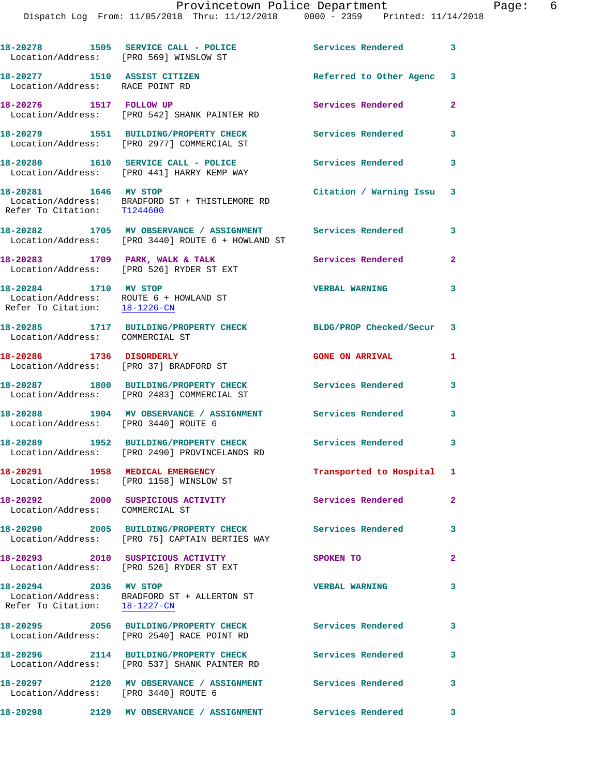Dispatch Log From: 11/05/2018 Thru: 11/12/2018 0000 - 2359 Printed: 11/14/2018

|                                                                 | 18-20278 1505 SERVICE CALL - POLICE<br>Location/Address: [PRO 569] WINSLOW ST                                                         | Services Rendered 3       |                         |
|-----------------------------------------------------------------|---------------------------------------------------------------------------------------------------------------------------------------|---------------------------|-------------------------|
| 18-20277 1510 ASSIST CITIZEN<br>Location/Address: RACE POINT RD |                                                                                                                                       | Referred to Other Agenc 3 |                         |
| 18-20276 1517 FOLLOW UP                                         | Location/Address: [PRO 542] SHANK PAINTER RD                                                                                          | Services Rendered         | 2                       |
|                                                                 | 18-20279 1551 BUILDING/PROPERTY CHECK<br>Location/Address: [PRO 2977] COMMERCIAL ST                                                   | <b>Services Rendered</b>  | 3                       |
|                                                                 | 18-20280 1610 SERVICE CALL - POLICE<br>Location/Address: [PRO 441] HARRY KEMP WAY                                                     | <b>Services Rendered</b>  | $\overline{\mathbf{3}}$ |
| 18-20281 1646 MV STOP                                           | $\begin{tabular}{ll} Location/Address: & \tt BRADFORD ST + THISTLEMORE RD \\ Refer To Citation: & \underline{T1244600} \end{tabular}$ | Citation / Warning Issu   | 3                       |
|                                                                 | 18-20282 1705 MV OBSERVANCE / ASSIGNMENT Services Rendered 3<br>Location/Address: [PRO 3440] ROUTE 6 + HOWLAND ST                     |                           |                         |
|                                                                 | 18-20283 1709 PARK, WALK & TALK<br>Location/Address: [PRO 526] RYDER ST EXT                                                           | Services Rendered         | $\mathbf{2}$            |
| 18-20284 1710 MV STOP<br>Refer To Citation: 18-1226-CN          | Location/Address: ROUTE 6 + HOWLAND ST                                                                                                | <b>VERBAL WARNING</b>     | 3                       |
| Location/Address: COMMERCIAL ST                                 | 18-20285 1717 BUILDING/PROPERTY CHECK                                                                                                 | BLDG/PROP Checked/Secur 3 |                         |
| 18-20286 1736 DISORDERLY                                        | Location/Address: [PRO 37] BRADFORD ST                                                                                                | <b>GONE ON ARRIVAL</b>    | 1                       |
|                                                                 | 18-20287 1800 BUILDING/PROPERTY CHECK Services Rendered<br>Location/Address: [PRO 2483] COMMERCIAL ST                                 |                           | 3                       |
| Location/Address: [PRO 3440] ROUTE 6                            | 18-20288 1904 MV OBSERVANCE / ASSIGNMENT Services Rendered                                                                            |                           | 3                       |
|                                                                 | 18-20289 1952 BUILDING/PROPERTY CHECK Services Rendered<br>Location/Address: [PRO 2490] PROVINCELANDS RD                              | $\sim$ $\sim$ 3           |                         |
| 18-20291                                                        | 1958 MEDICAL EMERGENCY<br>Location/Address: [PRO 1158] WINSLOW ST                                                                     | Transported to Hospital 1 |                         |
| Location/Address: COMMERCIAL ST                                 | 18-20292 2000 SUSPICIOUS ACTIVITY                                                                                                     | Services Rendered         | $\mathbf{2}$            |
|                                                                 | 18-20290 2005 BUILDING/PROPERTY CHECK<br>Location/Address: [PRO 75] CAPTAIN BERTIES WAY                                               | Services Rendered         | 3                       |
|                                                                 | 18-20293 2010 SUSPICIOUS ACTIVITY<br>Location/Address: [PRO 526] RYDER ST EXT                                                         | SPOKEN TO                 | $\overline{a}$          |
| 18-20294 2036 MV STOP<br>Refer To Citation: 18-1227-CN          | Location/Address: BRADFORD ST + ALLERTON ST                                                                                           | <b>VERBAL WARNING</b>     | 3                       |
|                                                                 | 18-20295 2056 BUILDING/PROPERTY CHECK Services Rendered 3<br>Location/Address: [PRO 2540] RACE POINT RD                               |                           |                         |
|                                                                 | 18-20296 2114 BUILDING/PROPERTY CHECK<br>Location/Address: [PRO 537] SHANK PAINTER RD                                                 | Services Rendered         | 3                       |
| Location/Address: [PRO 3440] ROUTE 6                            | 18-20297 2120 MV OBSERVANCE / ASSIGNMENT Services Rendered 3                                                                          |                           |                         |
|                                                                 |                                                                                                                                       |                           |                         |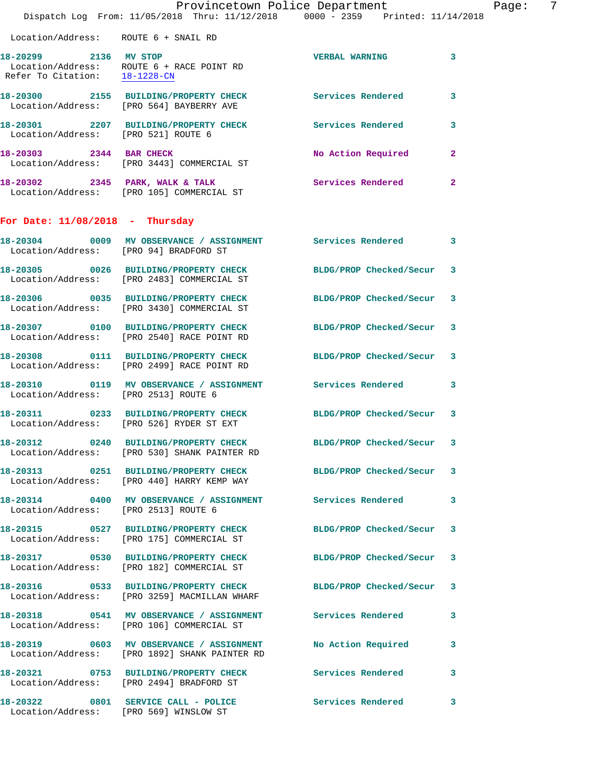|                                                        | Dispatch Log From: 11/05/2018 Thru: 11/12/2018 0000 - 2359 Printed: 11/14/2018                                  | Provincetown Police Department | Page: 7      |
|--------------------------------------------------------|-----------------------------------------------------------------------------------------------------------------|--------------------------------|--------------|
| Location/Address: ROUTE 6 + SNAIL RD                   |                                                                                                                 |                                |              |
| 18-20299 2136 MV STOP<br>Refer To Citation: 18-1228-CN | Location/Address: ROUTE 6 + RACE POINT RD                                                                       | VERBAL WARNING 3               |              |
|                                                        | 18-20300 2155 BUILDING/PROPERTY CHECK Services Rendered<br>Location/Address: [PRO 564] BAYBERRY AVE             |                                | 3            |
|                                                        | 18-20301 2207 BUILDING/PROPERTY CHECK Services Rendered<br>Location/Address: [PRO 521] ROUTE 6                  |                                | 3            |
|                                                        | 18-20303 2344 BAR CHECK<br>Location/Address: [PRO 3443] COMMERCIAL ST                                           | No Action Required             | $\mathbf{2}$ |
|                                                        | 18-20302 2345 PARK, WALK & TALK Services Rendered<br>Location/Address: [PRO 105] COMMERCIAL ST                  |                                | $\mathbf{2}$ |
| For Date: $11/08/2018$ - Thursday                      |                                                                                                                 |                                |              |
| Location/Address: [PRO 94] BRADFORD ST                 | 18-20304 0009 MV OBSERVANCE / ASSIGNMENT Services Rendered                                                      |                                | 3            |
|                                                        | 18-20305 0026 BUILDING/PROPERTY CHECK BLDG/PROP Checked/Secur 3<br>Location/Address: [PRO 2483] COMMERCIAL ST   |                                |              |
|                                                        | 18-20306 0035 BUILDING/PROPERTY CHECK BLDG/PROP Checked/Secur 3<br>Location/Address: [PRO 3430] COMMERCIAL ST   |                                |              |
|                                                        | 18-20307 0100 BUILDING/PROPERTY CHECK BLDG/PROP Checked/Secur 3<br>Location/Address: [PRO 2540] RACE POINT RD   |                                |              |
|                                                        | 18-20308 0111 BUILDING/PROPERTY CHECK BLDG/PROP Checked/Secur 3<br>Location/Address: [PRO 2499] RACE POINT RD   |                                |              |
| Location/Address: [PRO 2513] ROUTE 6                   | 18-20310 0119 MV OBSERVANCE / ASSIGNMENT Services Rendered 3                                                    |                                |              |
|                                                        | 18-20311 0233 BUILDING/PROPERTY CHECK BLDG/PROP Checked/Secur 3<br>Location/Address: [PRO 526] RYDER ST EXT     |                                |              |
|                                                        | 18-20312 0240 BUILDING/PROPERTY CHECK<br>Location/Address: [PRO 530] SHANK PAINTER RD                           | BLDG/PROP Checked/Secur 3      |              |
|                                                        | 18-20313 0251 BUILDING/PROPERTY CHECK BLDG/PROP Checked/Secur 3<br>Location/Address: [PRO 440] HARRY KEMP WAY   |                                |              |
| Location/Address: [PRO 2513] ROUTE 6                   | 18-20314 0400 MV OBSERVANCE / ASSIGNMENT Services Rendered                                                      |                                | 3            |
|                                                        | 18-20315 0527 BUILDING/PROPERTY CHECK BLDG/PROP Checked/Secur 3<br>Location/Address: [PRO 175] COMMERCIAL ST    |                                |              |
|                                                        | 18-20317 0530 BUILDING/PROPERTY CHECK<br>Location/Address: [PRO 182] COMMERCIAL ST                              | BLDG/PROP Checked/Secur 3      |              |
|                                                        | 18-20316 0533 BUILDING/PROPERTY CHECK BLDG/PROP Checked/Secur 3<br>Location/Address: [PRO 3259] MACMILLAN WHARF |                                |              |
|                                                        | 18-20318 0541 MV OBSERVANCE / ASSIGNMENT Services Rendered 3<br>Location/Address: [PRO 106] COMMERCIAL ST       |                                |              |
|                                                        | 18-20319 0603 MV OBSERVANCE / ASSIGNMENT<br>Location/Address: [PRO 1892] SHANK PAINTER RD                       | No Action Required             | 3            |
|                                                        | 18-20321 0753 BUILDING/PROPERTY CHECK Services Rendered<br>Location/Address: [PRO 2494] BRADFORD ST             |                                | 3            |
|                                                        | 18-20322 0801 SERVICE CALL - POLICE Services Rendered<br>Location/Address: [PRO 569] WINSLOW ST                 |                                | 3            |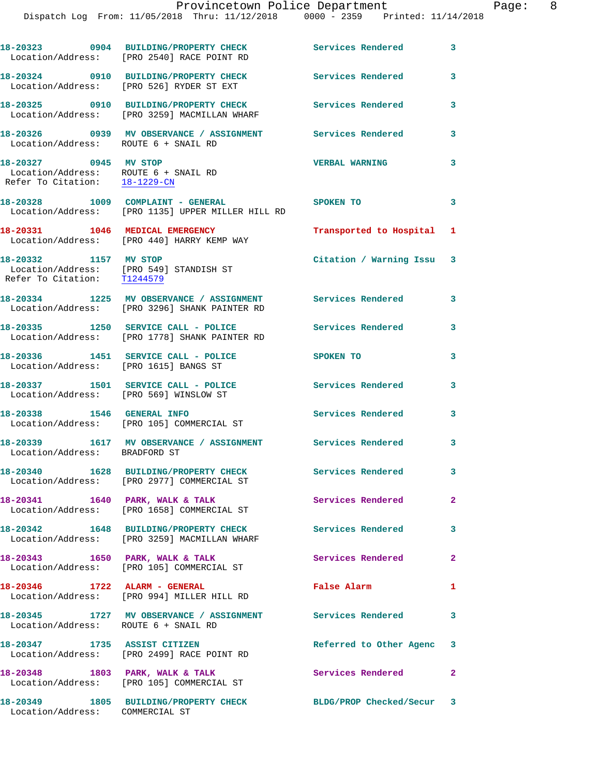**18-20323 0904 BUILDING/PROPERTY CHECK Services Rendered 3**  Location/Address: [PRO 2540] RACE POINT RD **18-20324 0910 BUILDING/PROPERTY CHECK Services Rendered 3**  Location/Address: [PRO 526] RYDER ST EXT **18-20325 0910 BUILDING/PROPERTY CHECK Services Rendered 3**  Location/Address: [PRO 3259] MACMILLAN WHARF **18-20326 0939 MV OBSERVANCE / ASSIGNMENT Services Rendered 3**  Location/Address: ROUTE 6 + SNAIL RD **18-20327 0945 MV STOP VERBAL WARNING 3**  Location/Address: ROUTE 6 + SNAIL RD Refer To Citation: 18-1229-CN **18-20328 1009 COMPLAINT - GENERAL SPOKEN TO 3**  Location/Address: [PRO 1135] UPPER MILLER HILL RD **18-20331 1046 MEDICAL EMERGENCY Transported to Hospital 1**  Location/Address: [PRO 440] HARRY KEMP WAY **18-20332 1157 MV STOP Citation / Warning Issu 3**  Location/Address: [PRO 549] STANDISH ST Refer To Citation: T1244579 **18-20334 1225 MV OBSERVANCE / ASSIGNMENT Services Rendered 3**  Location/Address: [PRO 3296] SHANK PAINTER RD **18-20335 1250 SERVICE CALL - POLICE Services Rendered 3**  Location/Address: [PRO 1778] SHANK PAINTER RD **18-20336 1451 SERVICE CALL - POLICE SPOKEN TO 3**  Location/Address: [PRO 1615] BANGS ST **18-20337 1501 SERVICE CALL - POLICE Services Rendered 3**  Location/Address: [PRO 569] WINSLOW ST **18-20338 1546 GENERAL INFO Services Rendered 3**  Location/Address: [PRO 105] COMMERCIAL ST **18-20339 1617 MV OBSERVANCE / ASSIGNMENT Services Rendered 3**  Location/Address: BRADFORD ST **18-20340 1628 BUILDING/PROPERTY CHECK Services Rendered 3**  Location/Address: [PRO 2977] COMMERCIAL ST 18-20341 1640 PARK, WALK & TALK **Services Rendered** 2 Location/Address: [PRO 1658] COMMERCIAL ST **18-20342 1648 BUILDING/PROPERTY CHECK Services Rendered 3**  Location/Address: [PRO 3259] MACMILLAN WHARF 18-20343 1650 PARK, WALK & TALK **Services Rendered** 2 Location/Address: [PRO 105] COMMERCIAL ST **18-20346 1722 ALARM - GENERAL False Alarm 1**  Location/Address: [PRO 994] MILLER HILL RD **18-20345 1727 MV OBSERVANCE / ASSIGNMENT Services Rendered 3**  Location/Address: ROUTE 6 + SNAIL RD **18-20347 1735 ASSIST CITIZEN Referred to Other Agenc 3**  Location/Address: [PRO 2499] RACE POINT RD 18-20348 1803 PARK, WALK & TALK **Services Rendered** 2 Location/Address: [PRO 105] COMMERCIAL ST **18-20349 1805 BUILDING/PROPERTY CHECK BLDG/PROP Checked/Secur 3** 

Location/Address: COMMERCIAL ST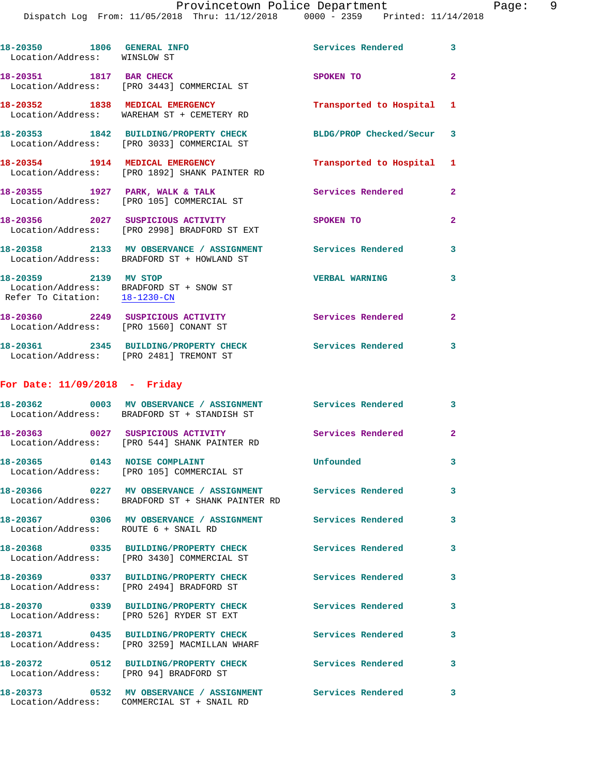|                                                                                                      | Provincetown Police Department<br>Dispatch Log From: 11/05/2018 Thru: 11/12/2018 0000 - 2359 Printed: 11/14/2018 |                          |                |
|------------------------------------------------------------------------------------------------------|------------------------------------------------------------------------------------------------------------------|--------------------------|----------------|
| 18-20350 1806 GENERAL INFO<br>Location/Address: WINSLOW ST                                           |                                                                                                                  | <b>Services Rendered</b> | 3              |
| 18-20351 1817 BAR CHECK                                                                              | Location/Address: [PRO 3443] COMMERCIAL ST                                                                       | SPOKEN TO                | $\overline{2}$ |
|                                                                                                      | 18-20352 1838 MEDICAL EMERGENCY<br>Location/Address: WAREHAM ST + CEMETERY RD                                    | Transported to Hospital  | 1              |
|                                                                                                      | 18-20353 1842 BUILDING/PROPERTY CHECK<br>Location/Address: [PRO 3033] COMMERCIAL ST                              | BLDG/PROP Checked/Secur  | 3              |
|                                                                                                      | 18-20354 1914 MEDICAL EMERGENCY<br>Location/Address: [PRO 1892] SHANK PAINTER RD                                 | Transported to Hospital  | 1              |
|                                                                                                      | 18-20355 1927 PARK, WALK & TALK<br>Location/Address: [PRO 105] COMMERCIAL ST                                     | <b>Services Rendered</b> | $\overline{2}$ |
|                                                                                                      | 18-20356 2027 SUSPICIOUS ACTIVITY<br>Location/Address: [PRO 2998] BRADFORD ST EXT                                | SPOKEN TO                | 2              |
|                                                                                                      | 18-20358 2133 MV OBSERVANCE / ASSIGNMENT<br>Location/Address: BRADFORD ST + HOWLAND ST                           | <b>Services Rendered</b> | 3              |
| 18-20359 2139 MV STOP<br>Location/Address: BRADFORD ST + SNOW ST<br>Refer To Citation: $18-1230$ -CN |                                                                                                                  | <b>VERBAL WARNING</b>    | 3              |
| 18-20360  2249 SUSPICIOUS ACTIVITY<br>Location/Address: [PRO 1560] CONANT ST                         |                                                                                                                  | <b>Services Rendered</b> | $\overline{2}$ |
| Location/Address: [PRO 2481] TREMONT ST                                                              | 18-20361 2345 BUILDING/PROPERTY CHECK                                                                            | <b>Services Rendered</b> | 3              |
| For Date: $11/09/2018$ - Friday                                                                      |                                                                                                                  |                          |                |
|                                                                                                      | 18-20362 0003 MV OBSERVANCE / ASSIGNMENT Services Rendered<br>Location/Address: BRADFORD ST + STANDISH ST        |                          | 3              |
| 18-20363 0027 SUSPICIOUS ACTIVITY                                                                    | Location/Address: [PRO 544] SHANK PAINTER RD                                                                     | <b>Services Rendered</b> | $\mathbf{2}$   |

**18-20365 0143 NOISE COMPLAINT Unfounded 3**  Location/Address: [PRO 105] COMMERCIAL ST **18-20366 0227 MV OBSERVANCE / ASSIGNMENT Services Rendered 3**  Location/Address: BRADFORD ST + SHANK PAINTER RD

**18-20367 0306 MV OBSERVANCE / ASSIGNMENT Services Rendered 3**  Location/Address: ROUTE 6 + SNAIL RD **18-20368 0335 BUILDING/PROPERTY CHECK Services Rendered 3**  Location/Address: [PRO 3430] COMMERCIAL ST **18-20369 0337 BUILDING/PROPERTY CHECK Services Rendered 3**  Location/Address: [PRO 2494] BRADFORD ST **18-20370 0339 BUILDING/PROPERTY CHECK Services Rendered 3**  Location/Address: [PRO 526] RYDER ST EXT **18-20371 0435 BUILDING/PROPERTY CHECK Services Rendered 3**  Location/Address: [PRO 3259] MACMILLAN WHARF **18-20372 0512 BUILDING/PROPERTY CHECK Services Rendered 3**  Location/Address: [PRO 94] BRADFORD ST

**18-20373 0532 MV OBSERVANCE / ASSIGNMENT Services Rendered 3**  Location/Address: COMMERCIAL ST + SNAIL RD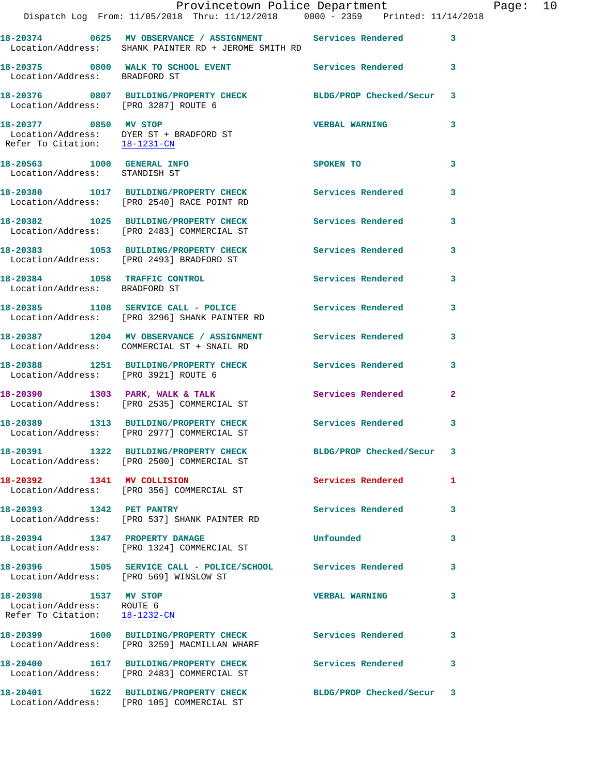|                                                                                     | Provincetown Police Department<br>Dispatch Log From: 11/05/2018 Thru: 11/12/2018 0000 - 2359 Printed: 11/14/2018   |                           |              | Page: 10 |  |
|-------------------------------------------------------------------------------------|--------------------------------------------------------------------------------------------------------------------|---------------------------|--------------|----------|--|
|                                                                                     | 18-20374 0625 MV OBSERVANCE / ASSIGNMENT Services Rendered<br>Location/Address: SHANK PAINTER RD + JEROME SMITH RD |                           | $\mathbf{3}$ |          |  |
| Location/Address: BRADFORD ST                                                       | 18-20375 0800 WALK TO SCHOOL EVENT Services Rendered 3                                                             |                           |              |          |  |
|                                                                                     | 18-20376 0807 BUILDING/PROPERTY CHECK BLDG/PROP Checked/Secur 3<br>Location/Address: [PRO 3287] ROUTE 6            |                           |              |          |  |
| 18-20377 0850 MV STOP<br>Refer To Citation: 18-1231-CN                              | Location/Address: DYER ST + BRADFORD ST                                                                            | <b>VERBAL WARNING</b>     | 3            |          |  |
| 18-20563 1000 GENERAL INFO<br>Location/Address: STANDISH ST                         |                                                                                                                    | SPOKEN TO                 | 3            |          |  |
|                                                                                     | 18-20380 1017 BUILDING/PROPERTY CHECK Services Rendered<br>Location/Address: [PRO 2540] RACE POINT RD              |                           | 3            |          |  |
|                                                                                     | 18-20382 1025 BUILDING/PROPERTY CHECK Services Rendered 3<br>Location/Address: [PRO 2483] COMMERCIAL ST            |                           |              |          |  |
|                                                                                     | 18-20383 1053 BUILDING/PROPERTY CHECK Services Rendered<br>Location/Address: [PRO 2493] BRADFORD ST                |                           | 3            |          |  |
| Location/Address: BRADFORD ST                                                       | 18-20384 1058 TRAFFIC CONTROL 18-20384 5ervices Rendered 3                                                         |                           |              |          |  |
|                                                                                     | 18-20385 1108 SERVICE CALL - POLICE Services Rendered<br>Location/Address: [PRO 3296] SHANK PAINTER RD             |                           | 3            |          |  |
|                                                                                     | 18-20387 1204 MV OBSERVANCE / ASSIGNMENT Services Rendered<br>Location/Address: COMMERCIAL ST + SNAIL RD           |                           | 3            |          |  |
|                                                                                     | 18-20388 1251 BUILDING/PROPERTY CHECK Services Rendered<br>Location/Address: [PRO 3921] ROUTE 6                    |                           | $\mathbf{3}$ |          |  |
|                                                                                     |                                                                                                                    | Services Rendered         | $\mathbf{2}$ |          |  |
|                                                                                     | 18-20389 1313 BUILDING/PROPERTY CHECK Services Rendered<br>Location/Address: [PRO 2977] COMMERCIAL ST              |                           | 3            |          |  |
|                                                                                     | 18-20391 1322 BUILDING/PROPERTY CHECK BLDG/PROP Checked/Secur 3<br>Location/Address: [PRO 2500] COMMERCIAL ST      |                           |              |          |  |
|                                                                                     | 18-20392 1341 MV COLLISION<br>Location/Address: [PRO 356] COMMERCIAL ST                                            | Services Rendered         | 1            |          |  |
| 18-20393 1342 PET PANTRY                                                            | Location/Address: [PRO 537] SHANK PAINTER RD                                                                       | Services Rendered         | 3            |          |  |
|                                                                                     | 18-20394 1347 PROPERTY DAMAGE<br>Location/Address: [PRO 1324] COMMERCIAL ST                                        | Unfounded                 | 3            |          |  |
| Location/Address: [PRO 569] WINSLOW ST                                              | 18-20396 1505 SERVICE CALL - POLICE/SCHOOL Services Rendered                                                       |                           | 3            |          |  |
| 18-20398 1537 MV STOP<br>Location/Address: ROUTE 6<br>Refer To Citation: 18-1232-CN |                                                                                                                    | <b>VERBAL WARNING</b>     | 3            |          |  |
|                                                                                     | 18-20399 1600 BUILDING/PROPERTY CHECK Services Rendered<br>Location/Address: [PRO 3259] MACMILLAN WHARF            |                           | 3            |          |  |
|                                                                                     | 18-20400   1617 BUILDING/PROPERTY CHECK<br>Location/Address: [PRO 2483] COMMERCIAL ST                              | Services Rendered         | 3            |          |  |
|                                                                                     | 18-20401 1622 BUILDING/PROPERTY CHECK<br>Location/Address: [PRO 105] COMMERCIAL ST                                 | BLDG/PROP Checked/Secur 3 |              |          |  |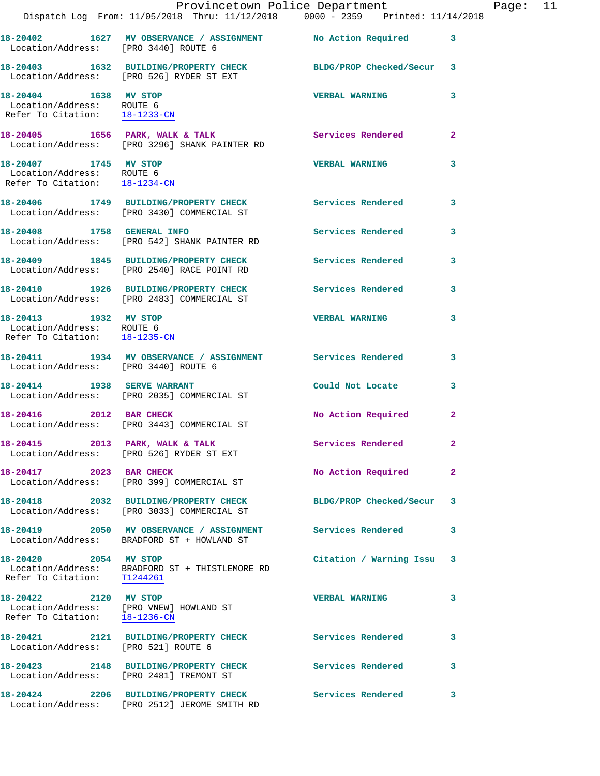|                                                                                     | Dispatch Log From: 11/05/2018 Thru: 11/12/2018 0000 - 2359 Printed: 11/14/2018                              | Provincetown Police Department |              | Page: 11 |  |
|-------------------------------------------------------------------------------------|-------------------------------------------------------------------------------------------------------------|--------------------------------|--------------|----------|--|
| Location/Address: [PRO 3440] ROUTE 6                                                | 18-20402 1627 MV OBSERVANCE / ASSIGNMENT No Action Required 3                                               |                                |              |          |  |
|                                                                                     | 18-20403 1632 BUILDING/PROPERTY CHECK BLDG/PROP Checked/Secur 3<br>Location/Address: [PRO 526] RYDER ST EXT |                                |              |          |  |
| 18-20404 1638 MV STOP<br>Location/Address: ROUTE 6<br>Refer To Citation: 18-1233-CN |                                                                                                             | <b>VERBAL WARNING</b>          | 3            |          |  |
|                                                                                     | 18-20405 1656 PARK, WALK & TALK Services Rendered<br>Location/Address: [PRO 3296] SHANK PAINTER RD          |                                | $\mathbf{2}$ |          |  |
| 18-20407 1745 MV STOP<br>Location/Address: ROUTE 6<br>Refer To Citation: 18-1234-CN |                                                                                                             | <b>VERBAL WARNING</b>          | 3            |          |  |
|                                                                                     | 18-20406 1749 BUILDING/PROPERTY CHECK Services Rendered<br>Location/Address: [PRO 3430] COMMERCIAL ST       |                                | 3            |          |  |
| 18-20408 1758 GENERAL INFO                                                          | Location/Address: [PRO 542] SHANK PAINTER RD                                                                | Services Rendered              | 3            |          |  |
|                                                                                     | 18-20409 1845 BUILDING/PROPERTY CHECK<br>Location/Address: [PRO 2540] RACE POINT RD                         | <b>Services Rendered</b>       | 3            |          |  |
|                                                                                     | 18-20410 1926 BUILDING/PROPERTY CHECK Services Rendered<br>Location/Address: [PRO 2483] COMMERCIAL ST       |                                | 3            |          |  |
| 18-20413 1932 MV STOP<br>Location/Address: ROUTE 6<br>Refer To Citation: 18-1235-CN |                                                                                                             | <b>VERBAL WARNING</b>          | 3            |          |  |
| Location/Address: [PRO 3440] ROUTE 6                                                | 18-20411 1934 MV OBSERVANCE / ASSIGNMENT Services Rendered                                                  |                                | 3            |          |  |
|                                                                                     | 18-20414 1938 SERVE WARRANT<br>Location/Address: [PRO 2035] COMMERCIAL ST                                   | Could Not Locate 3             |              |          |  |
|                                                                                     | 18-20416 2012 BAR CHECK<br>Location/Address: [PRO 3443] COMMERCIAL ST                                       | No Action Required             | $\mathbf{2}$ |          |  |
|                                                                                     | 18-20415 2013 PARK, WALK & TALK<br>Location/Address: [PRO 526] RYDER ST EXT                                 | Services Rendered              | 2            |          |  |
| 18-20417 2023 BAR CHECK                                                             | Location/Address: [PRO 399] COMMERCIAL ST                                                                   | No Action Required             | $\mathbf{2}$ |          |  |
|                                                                                     | 18-20418 2032 BUILDING/PROPERTY CHECK<br>Location/Address: [PRO 3033] COMMERCIAL ST                         | BLDG/PROP Checked/Secur        | 3            |          |  |
|                                                                                     | 18-20419 2050 MV OBSERVANCE / ASSIGNMENT<br>Location/Address: BRADFORD ST + HOWLAND ST                      | <b>Services Rendered</b>       | 3            |          |  |
| 18-20420 2054 MV STOP<br>Refer To Citation:                                         | Location/Address: BRADFORD ST + THISTLEMORE RD<br>T1244261                                                  | Citation / Warning Issu 3      |              |          |  |
| 18-20422 2120 MV STOP<br>Refer To Citation: 18-1236-CN                              | Location/Address: [PRO VNEW] HOWLAND ST                                                                     | <b>VERBAL WARNING</b>          | 3            |          |  |
| Location/Address: [PRO 521] ROUTE 6                                                 | 18-20421 2121 BUILDING/PROPERTY CHECK Services Rendered                                                     |                                | 3            |          |  |
|                                                                                     | 18-20423 2148 BUILDING/PROPERTY CHECK<br>Location/Address: [PRO 2481] TREMONT ST                            | <b>Services Rendered</b>       | 3            |          |  |
|                                                                                     | 18-20424 2206 BUILDING/PROPERTY CHECK<br>Location/Address: [PRO 2512] JEROME SMITH RD                       | Services Rendered              | 3            |          |  |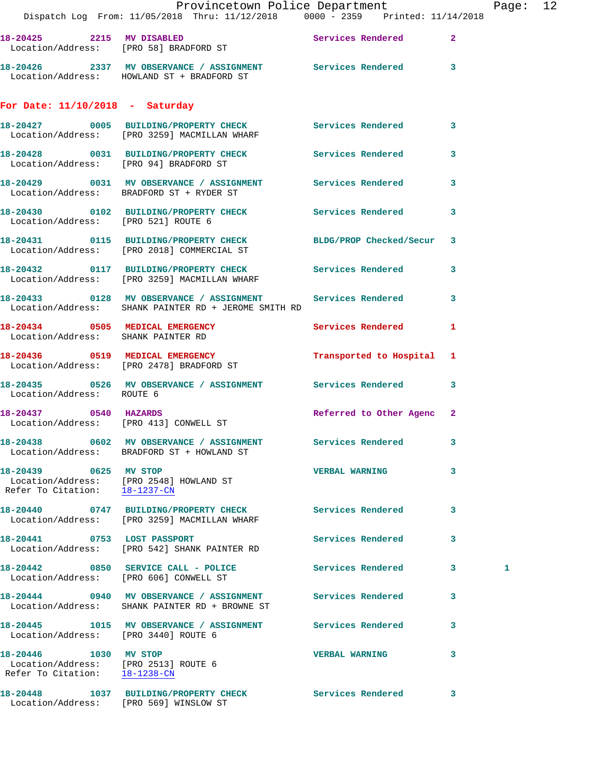|                                                                                                | Provincetown Police Department<br>Dispatch Log From: 11/05/2018 Thru: 11/12/2018 0000 - 2359 Printed: 11/14/2018                       |                            |   | Page: 12 |  |
|------------------------------------------------------------------------------------------------|----------------------------------------------------------------------------------------------------------------------------------------|----------------------------|---|----------|--|
|                                                                                                | 18-20425 2215 MV DISABLED<br>Location/Address: [PRO 58] BRADFORD ST                                                                    | Services Rendered 2        |   |          |  |
|                                                                                                | 18-20426 2337 MV OBSERVANCE / ASSIGNMENT Services Rendered 3<br>Location/Address: HOWLAND ST + BRADFORD ST                             |                            |   |          |  |
| For Date: $11/10/2018$ - Saturday                                                              |                                                                                                                                        |                            |   |          |  |
|                                                                                                | 18-20427 0005 BUILDING/PROPERTY CHECK Services Rendered 3<br>Location/Address: [PRO 3259] MACMILLAN WHARF                              |                            |   |          |  |
|                                                                                                | 18-20428 0031 BUILDING/PROPERTY CHECK Services Rendered 3<br>Location/Address: [PRO 94] BRADFORD ST                                    |                            |   |          |  |
|                                                                                                | 18-20429 0031 MV OBSERVANCE / ASSIGNMENT Services Rendered 3<br>Location/Address: BRADFORD ST + RYDER ST                               |                            |   |          |  |
| Location/Address: [PRO 521] ROUTE 6                                                            | 18-20430 0102 BUILDING/PROPERTY CHECK Services Rendered                                                                                |                            | 3 |          |  |
|                                                                                                | 18-20431 0115 BUILDING/PROPERTY CHECK BLDG/PROP Checked/Secur 3<br>Location/Address: [PRO 2018] COMMERCIAL ST                          |                            |   |          |  |
|                                                                                                | 18-20432   0117   BUILDING/PROPERTY CHECK   Services Rendered   3<br>Location/Address: [PRO 3259] MACMILLAN WHARF                      |                            |   |          |  |
|                                                                                                | 18-20433     0128   MV OBSERVANCE / ASSIGNMENT      Services Rendered      3<br>Location/Address:   SHANK PAINTER RD + JEROME SMITH RD |                            |   |          |  |
| 18-20434 0505 MEDICAL EMERGENCY<br>Location/Address: SHANK PAINTER RD                          |                                                                                                                                        | Services Rendered 1        |   |          |  |
|                                                                                                | 18-20436 0519 MEDICAL EMERGENCY<br>Location/Address: [PRO 2478] BRADFORD ST                                                            | Transported to Hospital 1  |   |          |  |
| Location/Address: ROUTE 6                                                                      | 18-20435 0526 MV OBSERVANCE / ASSIGNMENT Services Rendered 3                                                                           |                            |   |          |  |
| 18-20437 0540 HAZARDS                                                                          | Location/Address: [PRO 413] CONWELL ST                                                                                                 | Referred to Other Agenc 2  |   |          |  |
|                                                                                                | 18-20438 0602 MV OBSERVANCE / ASSIGNMENT<br>Location/Address: BRADFORD ST + HOWLAND ST                                                 | <b>Services Rendered</b>   | 3 |          |  |
| 18-20439 0625 MV STOP                                                                          | Location/Address: [PRO 2548] HOWLAND ST<br>Refer To Citation: 18-1237-CN                                                               | <b>VERBAL WARNING</b>      | 3 |          |  |
|                                                                                                | 18-20440 0747 BUILDING/PROPERTY CHECK Services Rendered<br>Location/Address: [PRO 3259] MACMILLAN WHARF                                |                            | 3 |          |  |
| 18-20441 0753 LOST PASSPORT                                                                    | Location/Address: [PRO 542] SHANK PAINTER RD                                                                                           | Services Rendered          | 3 |          |  |
|                                                                                                | 18-20442 0850 SERVICE CALL - POLICE<br>Location/Address: [PRO 606] CONWELL ST                                                          | <b>Services Rendered</b> 3 |   | 1        |  |
|                                                                                                | 18-20444 0940 MV OBSERVANCE / ASSIGNMENT<br>Location/Address: SHANK PAINTER RD + BROWNE ST                                             | <b>Services Rendered</b>   | 3 |          |  |
| Location/Address: [PRO 3440] ROUTE 6                                                           | 18-20445 1015 MV OBSERVANCE / ASSIGNMENT Services Rendered                                                                             |                            | 3 |          |  |
| 18-20446 1030 MV STOP<br>Location/Address: [PRO 2513] ROUTE 6<br>Refer To Citation: 18-1238-CN |                                                                                                                                        | <b>VERBAL WARNING</b>      | 3 |          |  |
| Location/Address: [PRO 569] WINSLOW ST                                                         | 18-20448 1037 BUILDING/PROPERTY CHECK Services Rendered 3                                                                              |                            |   |          |  |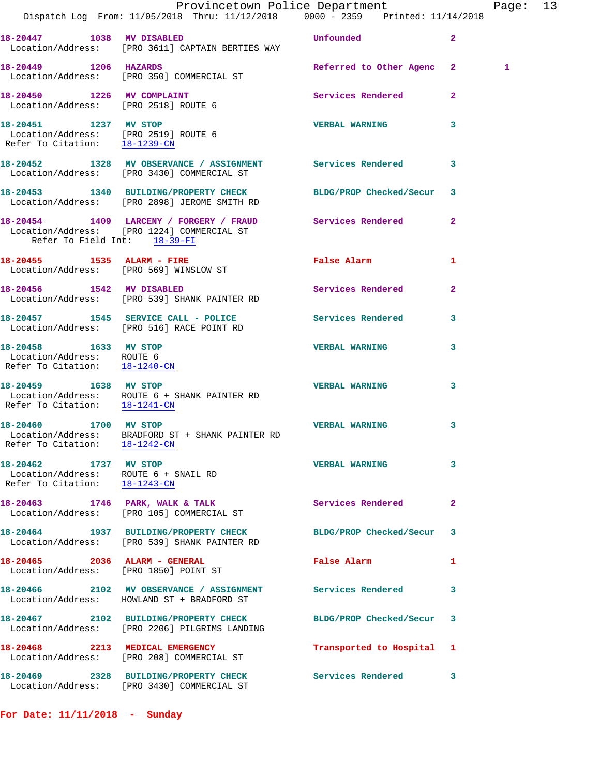|                                                                                                | Dispatch Log From: 11/05/2018 Thru: 11/12/2018 0000 - 2359 Printed: 11/14/2018                                  | Provincetown Police Department                                                                                                                                                                                                |                | Page: 13 |  |
|------------------------------------------------------------------------------------------------|-----------------------------------------------------------------------------------------------------------------|-------------------------------------------------------------------------------------------------------------------------------------------------------------------------------------------------------------------------------|----------------|----------|--|
| 18-20447 1038 MV DISABLED                                                                      | Location/Address: [PRO 3611] CAPTAIN BERTIES WAY                                                                | <b>Example 2018 Unfounded</b>                                                                                                                                                                                                 | $\overline{a}$ |          |  |
| 18-20449 1206 HAZARDS                                                                          | Location/Address: [PRO 350] COMMERCIAL ST                                                                       | Referred to Other Agenc 2                                                                                                                                                                                                     |                | 1        |  |
|                                                                                                | 18-20450 1226 MV COMPLAINT<br>Location/Address: [PRO 2518] ROUTE 6                                              | Services Rendered                                                                                                                                                                                                             | $\mathbf{2}$   |          |  |
| 18-20451 1237 MV STOP<br>Location/Address: [PRO 2519] ROUTE 6<br>Refer To Citation: 18-1239-CN |                                                                                                                 | <b>VERBAL WARNING</b>                                                                                                                                                                                                         | 3              |          |  |
|                                                                                                | 18-20452 1328 MV OBSERVANCE / ASSIGNMENT Services Rendered<br>Location/Address: [PRO 3430] COMMERCIAL ST        |                                                                                                                                                                                                                               | 3              |          |  |
|                                                                                                | 18-20453 1340 BUILDING/PROPERTY CHECK BLDG/PROP Checked/Secur 3<br>Location/Address: [PRO 2898] JEROME SMITH RD |                                                                                                                                                                                                                               |                |          |  |
| Refer To Field Int: 18-39-FI                                                                   | 18-20454 1409 LARCENY / FORGERY / FRAUD Services Rendered 2<br>Location/Address: [PRO 1224] COMMERCIAL ST       |                                                                                                                                                                                                                               |                |          |  |
|                                                                                                | 18-20455 1535 ALARM - FIRE<br>Location/Address: [PRO 569] WINSLOW ST                                            | False Alarm <b>Example 2</b>                                                                                                                                                                                                  | 1              |          |  |
|                                                                                                | 18-20456 1542 MV DISABLED<br>Location/Address: [PRO 539] SHANK PAINTER RD                                       | Services Rendered                                                                                                                                                                                                             | $\mathbf{2}$   |          |  |
|                                                                                                |                                                                                                                 |                                                                                                                                                                                                                               | 3              |          |  |
| 18-20458 1633 MV STOP<br>Location/Address: ROUTE 6<br>Refer To Citation: 18-1240-CN            |                                                                                                                 | <b>VERBAL WARNING</b>                                                                                                                                                                                                         | 3              |          |  |
| 18-20459 1638 MV STOP<br>Refer To Citation: 18-1241-CN                                         | Location/Address: ROUTE 6 + SHANK PAINTER RD                                                                    | <b>VERBAL WARNING</b>                                                                                                                                                                                                         | 3              |          |  |
| Refer To Citation:                                                                             | 18-20460 1700 MV STOP<br>Location/Address: BRADFORD ST + SHANK PAINTER RD<br>$18 - 1242 - CN$                   | <b>VERBAL WARNING</b>                                                                                                                                                                                                         | 3              |          |  |
| 18-20462 1737 MV STOP<br>Location/Address: ROUTE 6 + SNAIL RD<br>Refer To Citation: 18-1243-CN |                                                                                                                 | <b>VERBAL WARNING</b>                                                                                                                                                                                                         | 3              |          |  |
|                                                                                                | 18-20463 1746 PARK, WALK & TALK<br>Location/Address: [PRO 105] COMMERCIAL ST                                    | Services Rendered                                                                                                                                                                                                             | $\mathbf{2}$   |          |  |
|                                                                                                | 18-20464 1937 BUILDING/PROPERTY CHECK<br>Location/Address: [PRO 539] SHANK PAINTER RD                           | BLDG/PROP Checked/Secur                                                                                                                                                                                                       | 3              |          |  |
| Location/Address: [PRO 1850] POINT ST                                                          | 18-20465 2036 ALARM - GENERAL                                                                                   | False Alarm and the set of the set of the set of the set of the set of the set of the set of the set of the set of the set of the set of the set of the set of the set of the set of the set of the set of the set of the set | 1              |          |  |
|                                                                                                | 18-20466 2102 MV OBSERVANCE / ASSIGNMENT Services Rendered<br>Location/Address: HOWLAND ST + BRADFORD ST        |                                                                                                                                                                                                                               | 3              |          |  |
|                                                                                                |                                                                                                                 | BLDG/PROP Checked/Secur 3                                                                                                                                                                                                     |                |          |  |
|                                                                                                | 18-20468 2213 MEDICAL EMERGENCY<br>Location/Address: [PRO 208] COMMERCIAL ST                                    | Transported to Hospital 1                                                                                                                                                                                                     |                |          |  |
|                                                                                                | 18-20469 2328 BUILDING/PROPERTY CHECK<br>Location/Address: [PRO 3430] COMMERCIAL ST                             | <b>Services Rendered</b>                                                                                                                                                                                                      | 3              |          |  |
|                                                                                                |                                                                                                                 |                                                                                                                                                                                                                               |                |          |  |

**For Date: 11/11/2018 - Sunday**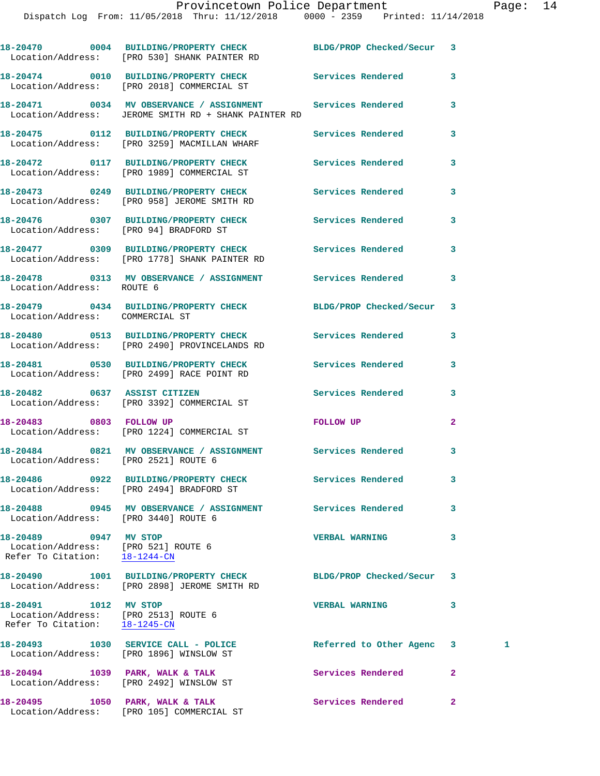|                                                                                                | 18-20470 0004 BUILDING/PROPERTY CHECK BLDG/PROP Checked/Secur<br>Location/Address: [PRO 530] SHANK PAINTER RD      |                          | 3            |   |
|------------------------------------------------------------------------------------------------|--------------------------------------------------------------------------------------------------------------------|--------------------------|--------------|---|
|                                                                                                | 18-20474 0010 BUILDING/PROPERTY CHECK<br>Location/Address: [PRO 2018] COMMERCIAL ST                                | <b>Services Rendered</b> | 3            |   |
|                                                                                                | 18-20471 0034 MV OBSERVANCE / ASSIGNMENT Services Rendered<br>Location/Address: JEROME SMITH RD + SHANK PAINTER RD |                          | 3            |   |
|                                                                                                | 18-20475 0112 BUILDING/PROPERTY CHECK<br>Location/Address: [PRO 3259] MACMILLAN WHARF                              | Services Rendered        | 3            |   |
|                                                                                                | 18-20472 0117 BUILDING/PROPERTY CHECK<br>Location/Address: [PRO 1989] COMMERCIAL ST                                | Services Rendered        | 3            |   |
|                                                                                                | 18-20473 0249 BUILDING/PROPERTY CHECK<br>Location/Address: [PRO 958] JEROME SMITH RD                               | Services Rendered        | 3            |   |
| Location/Address: [PRO 94] BRADFORD ST                                                         | 18-20476 0307 BUILDING/PROPERTY CHECK                                                                              | Services Rendered        | 3            |   |
|                                                                                                | 18-20477 0309 BUILDING/PROPERTY CHECK<br>Location/Address: [PRO 1778] SHANK PAINTER RD                             | Services Rendered        | 3            |   |
| Location/Address: ROUTE 6                                                                      | 18-20478   0313 MV OBSERVANCE / ASSIGNMENT   Services Rendered                                                     |                          | 3            |   |
| Location/Address: COMMERCIAL ST                                                                | 18-20479 0434 BUILDING/PROPERTY CHECK                                                                              | BLDG/PROP Checked/Secur  | 3            |   |
|                                                                                                | 18-20480 0513 BUILDING/PROPERTY CHECK<br>Location/Address: [PRO 2490] PROVINCELANDS RD                             | Services Rendered        | 3            |   |
|                                                                                                | 18-20481 0530 BUILDING/PROPERTY CHECK<br>Location/Address: [PRO 2499] RACE POINT RD                                | Services Rendered        | 3            |   |
|                                                                                                | 18-20482 0637 ASSIST CITIZEN<br>Location/Address: [PRO 3392] COMMERCIAL ST                                         | <b>Services Rendered</b> | 3            |   |
|                                                                                                | 18-20483 0803 FOLLOW UP<br>Location/Address: [PRO 1224] COMMERCIAL ST                                              | <b>FOLLOW UP</b>         | $\mathbf{2}$ |   |
| Location/Address: [PRO 2521] ROUTE 6                                                           | 18-20484 0821 MV OBSERVANCE / ASSIGNMENT Services Rendered                                                         |                          | 3            |   |
|                                                                                                | 18-20486 0922 BUILDING/PROPERTY CHECK<br>Location/Address: [PRO 2494] BRADFORD ST                                  | Services Rendered        | 3            |   |
| Location/Address: [PRO 3440] ROUTE 6                                                           | 18-20488 0945 MV OBSERVANCE / ASSIGNMENT Services Rendered                                                         |                          | 3            |   |
| 18-20489 0947 MV STOP<br>Location/Address: [PRO 521] ROUTE 6<br>Refer To Citation: 18-1244-CN  |                                                                                                                    | <b>VERBAL WARNING</b>    | 3            |   |
|                                                                                                | 18-20490 1001 BUILDING/PROPERTY CHECK<br>Location/Address: [PRO 2898] JEROME SMITH RD                              | BLDG/PROP Checked/Secur  | 3            |   |
| 18-20491 1012 MV STOP<br>Location/Address: [PRO 2513] ROUTE 6<br>Refer To Citation: 18-1245-CN |                                                                                                                    | <b>VERBAL WARNING</b>    | 3            |   |
|                                                                                                | 18-20493 1030 SERVICE CALL - POLICE<br>Location/Address: [PRO 1896] WINSLOW ST                                     | Referred to Other Agenc  | 3            | 1 |
|                                                                                                | 18-20494 1039 PARK, WALK & TALK<br>Location/Address: [PRO 2492] WINSLOW ST                                         | Services Rendered        | $\mathbf{2}$ |   |
| 18-20495 1050 PARK, WALK & TALK                                                                |                                                                                                                    | Services Rendered        | $\mathbf{2}$ |   |

Location/Address: [PRO 105] COMMERCIAL ST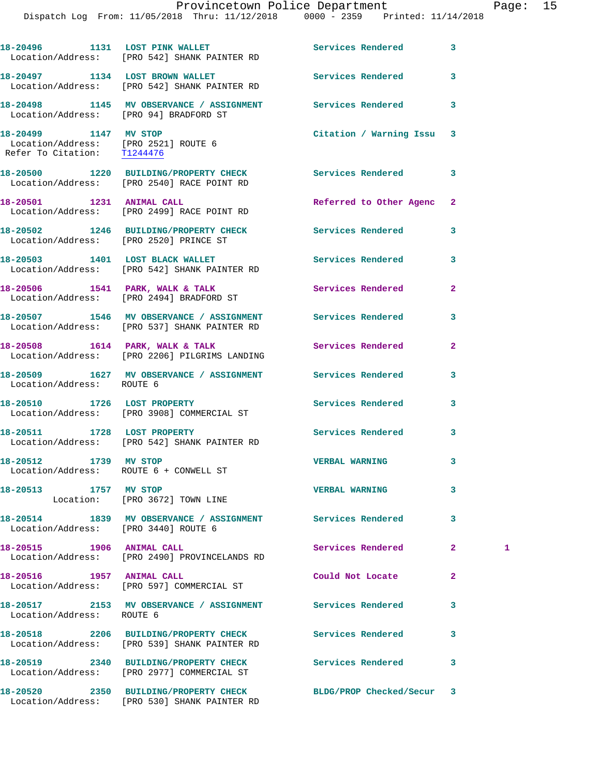|                                                                                              | 18-20496 1131 LOST PINK WALLET<br>Location/Address: [PRO 542] SHANK PAINTER RD                             | Services Rendered        | 3              |   |
|----------------------------------------------------------------------------------------------|------------------------------------------------------------------------------------------------------------|--------------------------|----------------|---|
|                                                                                              | 18-20497 1134 LOST BROWN WALLET<br>Location/Address: [PRO 542] SHANK PAINTER RD                            | Services Rendered        | 3              |   |
| Location/Address: [PRO 94] BRADFORD ST                                                       | 18-20498 1145 MV OBSERVANCE / ASSIGNMENT Services Rendered                                                 |                          | 3              |   |
| 18-20499 1147 MV STOP<br>Location/Address: [PRO 2521] ROUTE 6<br>Refer To Citation: T1244476 |                                                                                                            | Citation / Warning Issu  | 3              |   |
|                                                                                              | 18-20500 1220 BUILDING/PROPERTY CHECK Services Rendered<br>Location/Address: [PRO 2540] RACE POINT RD      |                          | 3              |   |
| 18-20501 1231 ANIMAL CALL                                                                    | Location/Address: [PRO 2499] RACE POINT RD                                                                 | Referred to Other Agenc  | $\mathbf{2}$   |   |
| Location/Address: [PRO 2520] PRINCE ST                                                       | 18-20502 1246 BUILDING/PROPERTY CHECK                                                                      | Services Rendered        | 3              |   |
|                                                                                              | 18-20503 1401 LOST BLACK WALLET<br>Location/Address: [PRO 542] SHANK PAINTER RD                            | Services Rendered        | 3              |   |
|                                                                                              | 18-20506 1541 PARK, WALK & TALK<br>Location/Address: [PRO 2494] BRADFORD ST                                | Services Rendered        | $\mathbf{2}$   |   |
|                                                                                              | 18-20507 1546 MV OBSERVANCE / ASSIGNMENT Services Rendered<br>Location/Address: [PRO 537] SHANK PAINTER RD |                          | 3              |   |
|                                                                                              | 18-20508 1614 PARK, WALK & TALK<br>Location/Address: [PRO 2206] PILGRIMS LANDING                           | Services Rendered        | $\mathbf{2}$   |   |
| Location/Address: ROUTE 6                                                                    | 18-20509 1627 MV OBSERVANCE / ASSIGNMENT Services Rendered                                                 |                          | 3              |   |
|                                                                                              | 18-20510 1726 LOST PROPERTY<br>Location/Address: [PRO 3908] COMMERCIAL ST                                  | Services Rendered        | 3              |   |
|                                                                                              | 18-20511 1728 LOST PROPERTY<br>Location/Address: [PRO 542] SHANK PAINTER RD                                | Services Rendered        | 3              |   |
| 18-20512 1739 MV STOP<br>Location/Address: ROUTE 6 + CONWELL ST                              |                                                                                                            | <b>VERBAL WARNING</b>    | 3              |   |
| 18-20513 1757 MV STOP                                                                        | Location: [PRO 3672] TOWN LINE                                                                             | <b>VERBAL WARNING</b>    | 3              |   |
| Location/Address: [PRO 3440] ROUTE 6                                                         | 18-20514 1839 MV OBSERVANCE / ASSIGNMENT Services Rendered                                                 |                          | 3              |   |
| 18-20515 1906 ANIMAL CALL                                                                    | Location/Address: [PRO 2490] PROVINCELANDS RD                                                              | Services Rendered        | $\mathbf{2}^-$ | 1 |
| 18-20516 1957 ANIMAL CALL                                                                    | Location/Address: [PRO 597] COMMERCIAL ST                                                                  | Could Not Locate         | $\mathbf{2}$   |   |
| Location/Address: ROUTE 6                                                                    | 18-20517 2153 MV OBSERVANCE / ASSIGNMENT Services Rendered                                                 |                          | 3              |   |
|                                                                                              | 18-20518  2206 BUILDING/PROPERTY CHECK<br>Location/Address: [PRO 539] SHANK PAINTER RD                     | <b>Services Rendered</b> | 3              |   |
|                                                                                              | 18-20519 2340 BUILDING/PROPERTY CHECK<br>Location/Address: [PRO 2977] COMMERCIAL ST                        | Services Rendered        | 3              |   |
|                                                                                              |                                                                                                            |                          |                |   |

Location/Address: [PRO 530] SHANK PAINTER RD

**18-20520 2350 BUILDING/PROPERTY CHECK BLDG/PROP Checked/Secur 3**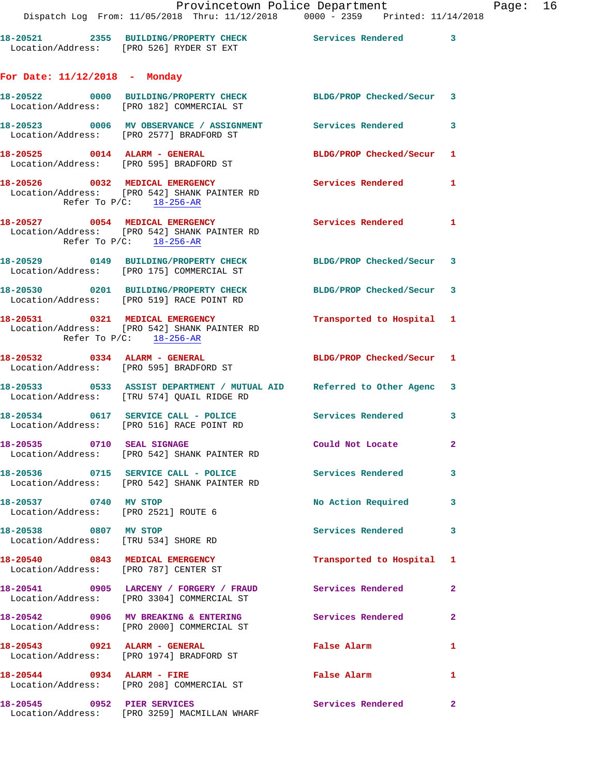| 18-20521          | 2355 BUILDING/PROPERTY CHECK | Services Rendered |  |
|-------------------|------------------------------|-------------------|--|
| Location/Address: | FPRO 5261 RYDER ST EXT       |                   |  |

## **For Date: 11/12/2018 - Monday**

|                                                                          | 18-20522 0000 BUILDING/PROPERTY CHECK BLDG/PROP Checked/Secur 3<br>Location/Address: [PRO 182] COMMERCIAL ST         |                           |                |
|--------------------------------------------------------------------------|----------------------------------------------------------------------------------------------------------------------|---------------------------|----------------|
|                                                                          | 18-20523 0006 MV OBSERVANCE / ASSIGNMENT Services Rendered 3<br>Location/Address: [PRO 2577] BRADFORD ST             |                           |                |
|                                                                          | 18-20525 0014 ALARM - GENERAL<br>Location/Address: [PRO 595] BRADFORD ST                                             | BLDG/PROP Checked/Secur 1 |                |
| Refer To P/C: 18-256-AR                                                  | 18-20526 0032 MEDICAL EMERGENCY<br>Location/Address: [PRO 542] SHANK PAINTER RD                                      | Services Rendered 1       |                |
|                                                                          | 18-20527 0054 MEDICAL EMERGENCY<br>Location/Address: [PRO 542] SHANK PAINTER RD<br>Refer To $P/C$ : $18-256-AR$      | Services Rendered 1       |                |
|                                                                          | 18-20529 0149 BUILDING/PROPERTY CHECK BLDG/PROP Checked/Secur 3<br>Location/Address: [PRO 175] COMMERCIAL ST         |                           |                |
|                                                                          | 18-20530 0201 BUILDING/PROPERTY CHECK<br>Location/Address: [PRO 519] RACE POINT RD                                   | BLDG/PROP Checked/Secur 3 |                |
|                                                                          | 18-20531 0321 MEDICAL EMERGENCY<br>Location/Address: [PRO 542] SHANK PAINTER RD<br>Refer To $P/C$ : 18-256-AR        | Transported to Hospital 1 |                |
|                                                                          | 18-20532 0334 ALARM - GENERAL<br>Location/Address: [PRO 595] BRADFORD ST                                             | BLDG/PROP Checked/Secur 1 |                |
|                                                                          | 18-20533 0533 ASSIST DEPARTMENT / MUTUAL AID Referred to Other Agenc 3<br>Location/Address: [TRU 574] QUAIL RIDGE RD |                           |                |
|                                                                          | 18-20534 0617 SERVICE CALL - POLICE 3 Services Rendered<br>Location/Address: [PRO 516] RACE POINT RD                 |                           | 3              |
| 18-20535 0710 SEAL SIGNAGE                                               | Location/Address: [PRO 542] SHANK PAINTER RD                                                                         | Could Not Locate          | $\overline{a}$ |
|                                                                          | 18-20536 0715 SERVICE CALL - POLICE 3 Services Rendered<br>Location/Address: [PRO 542] SHANK PAINTER RD              |                           | 3              |
| 18-20537 0740 MV STOP<br>Location/Address: [PRO 2521] ROUTE 6            |                                                                                                                      | No Action Required 3      |                |
| 18-20538 0807 MV STOP<br>Location/Address: [TRU 534] SHORE RD            |                                                                                                                      | Services Rendered         | 3              |
| 18-20540 0843 MEDICAL EMERGENCY<br>Location/Address: [PRO 787] CENTER ST |                                                                                                                      | Transported to Hospital 1 |                |
|                                                                          | 18-20541 0905 LARCENY / FORGERY / FRAUD<br>Location/Address: [PRO 3304] COMMERCIAL ST                                | Services Rendered         | $\mathbf{2}$   |
|                                                                          | 18-20542 0906 MV BREAKING & ENTERING<br>Location/Address: [PRO 2000] COMMERCIAL ST                                   | Services Rendered         | $\mathbf{2}$   |
| 18-20543 0921 ALARM - GENERAL                                            | Location/Address: [PRO 1974] BRADFORD ST                                                                             | False Alarm               | 1              |
| 18-20544 0934 ALARM - FIRE                                               | Location/Address: [PRO 208] COMMERCIAL ST                                                                            | False Alarm               | 1              |
| 18-20545 0952 PIER SERVICES                                              | Location/Address: [PRO 3259] MACMILLAN WHARF                                                                         | Services Rendered         | $\mathbf{2}$   |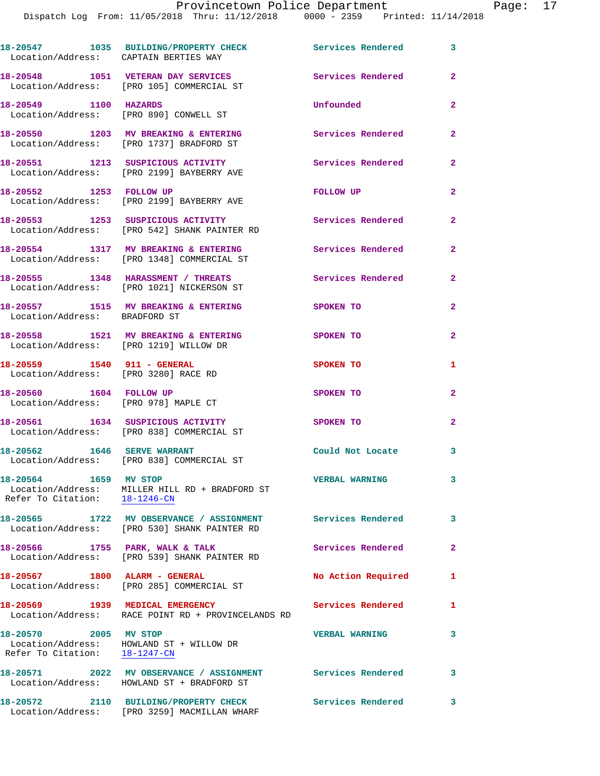Dispatch Log From: 11/05/2018 Thru: 11/12/2018 0000 - 2359 Printed: 11/14/2018

**18-20547 1035 BUILDING/PROPERTY CHECK Services Rendered 3**  Location/Address: CAPTAIN BERTIES WAY **18-20548 1051 VETERAN DAY SERVICES Services Rendered 2**  Location/Address: [PRO 105] COMMERCIAL ST **18-20549 1100 HAZARDS Unfounded 2**  Location/Address: [PRO 890] CONWELL ST **18-20550 1203 MV BREAKING & ENTERING Services Rendered 2**  Location/Address: [PRO 1737] BRADFORD ST **18-20551 1213 SUSPICIOUS ACTIVITY Services Rendered 2**  Location/Address: [PRO 2199] BAYBERRY AVE **18-20552 1253 FOLLOW UP FOLLOW UP 2**  Location/Address: [PRO 2199] BAYBERRY AVE **18-20553 1253 SUSPICIOUS ACTIVITY Services Rendered 2**  Location/Address: [PRO 542] SHANK PAINTER RD **18-20554 1317 MV BREAKING & ENTERING Services Rendered 2**  Location/Address: [PRO 1348] COMMERCIAL ST **18-20555 1348 HARASSMENT / THREATS Services Rendered 2**  Location/Address: [PRO 1021] NICKERSON ST 18-20557 1515 MV BREAKING & ENTERING 3POKEN TO 2 Location/Address: BRADFORD ST **18-20558 1521 MV BREAKING & ENTERING SPOKEN TO 2**  Location/Address: [PRO 1219] WILLOW DR **18-20559 1540 911 - GENERAL SPOKEN TO 1**  Location/Address: [PRO 3280] RACE RD **18-20560 1604 FOLLOW UP SPOKEN TO 2**  Location/Address: [PRO 978] MAPLE CT **18-20561 1634 SUSPICIOUS ACTIVITY SPOKEN TO 2**  Location/Address: [PRO 838] COMMERCIAL ST **18-20562 1646 SERVE WARRANT Could Not Locate 3**  Location/Address: [PRO 838] COMMERCIAL ST **18-20564 1659 MV STOP VERBAL WARNING 3**  Location/Address: MILLER HILL RD + BRADFORD ST Refer To Citation:  $\frac{18-1246-CN}{2}$ **18-20565 1722 MV OBSERVANCE / ASSIGNMENT Services Rendered 3**  Location/Address: [PRO 530] SHANK PAINTER RD 18-20566 1755 PARK, WALK & TALK **Services Rendered** 2 Location/Address: [PRO 539] SHANK PAINTER RD **18-20567 1800 ALARM - GENERAL No Action Required 1**  Location/Address: [PRO 285] COMMERCIAL ST 18-20569 1939 MEDICAL EMERGENCY Services Rendered 1 Location/Address: RACE POINT RD + PROVINCELANDS RD **18-20570 2005 MV STOP VERBAL WARNING 3**  Location/Address: HOWLAND ST + WILLOW DR Refer To Citation: 18-1247-CN **18-20571 2022 MV OBSERVANCE / ASSIGNMENT Services Rendered 3**  Location/Address: HOWLAND ST + BRADFORD ST **18-20572 2110 BUILDING/PROPERTY CHECK Services Rendered 3**  Location/Address: [PRO 3259] MACMILLAN WHARF